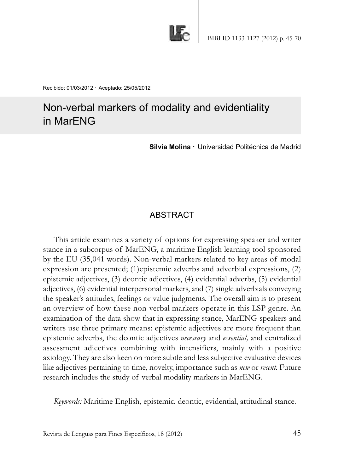

Recibido: 01/03/2012 · Aceptado: 25/05/2012

# Non-verbal markers of modality and evidentiality in MarENG

**Silvia Molina ·** Universidad Politécnica de Madrid

# **ABSTRACT**

This article examines a variety of options for expressing speaker and writer stance in a subcorpus of MarENG, a maritime English learning tool sponsored by the EU (35,041 words). Non-verbal markers related to key areas of modal expression are presented; (1)epistemic adverbs and adverbial expressions, (2) epistemic adjectives, (3) deontic adjectives, (4) evidential adverbs, (5) evidential adjectives, (6) evidential interpersonal markers, and (7) single adverbials conveying the speaker's attitudes, feelings or value judgments. The overall aim is to present an overview of how these non-verbal markers operate in this LSP genre. An examination of the data show that in expressing stance, MarENG speakers and writers use three primary means: epistemic adjectives are more frequent than epistemic adverbs, the deontic adjectives *necessary* and *essential,* and centralized assessment adjectives combining with intensifiers, mainly with a positive axiology. They are also keen on more subtle and less subjective evaluative devices like adjectives pertaining to time, novelty, importance such as *new* or *recent.* Future research includes the study of verbal modality markers in MarENG.

*Keywords:* Maritime English, epistemic, deontic, evidential, attitudinal stance.

Revista de Lenguas para Fines Específicos, 18 (2012) 45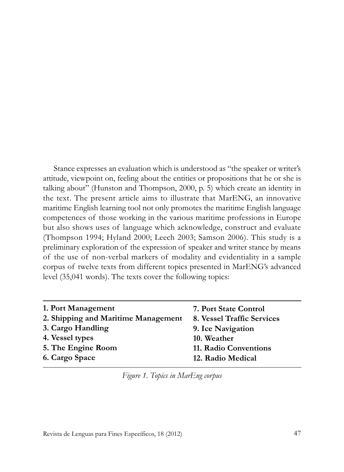Stance expresses an evaluation which is understood as "the speaker or writer's attitude, viewpoint on, feeling about the entities or propositions that he or she is talking about" (Hunston and Thompson, 2000, p. 5) which create an identity in the text. The present article aims to illustrate that MarENG, an innovative maritime English learning tool not only promotes the maritime English language competences of those working in the various maritime professions in Europe but also shows uses of language which acknowledge, construct and evaluate (Thompson 1994; Hyland 2000; Leech 2003; Samson 2006). This study is a preliminary exploration of the expression of speaker and writer stance by means of the use of non-verbal markers of modality and evidentiality in a sample corpus of twelve texts from different topics presented in MarENG's advanced level (35,041 words). The texts cover the following topics:

| 1. Port Management                  | 7. Port State Control      |
|-------------------------------------|----------------------------|
| 2. Shipping and Maritime Management | 8. Vessel Traffic Services |
| 3. Cargo Handling                   | 9. Ice Navigation          |
| 4. Vessel types                     | 10. Weather                |
| 5. The Engine Room                  | 11. Radio Conventions      |
| 6. Cargo Space                      | 12. Radio Medical          |

*Figure 1. Topics in MarEng corpus*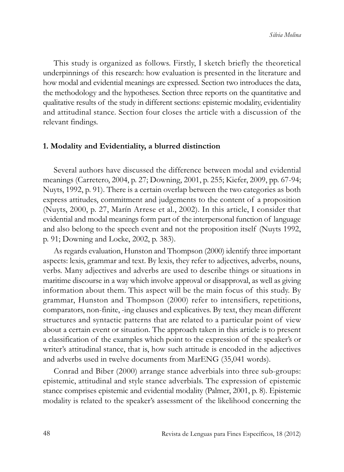This study is organized as follows. Firstly, I sketch briefly the theoretical underpinnings of this research: how evaluation is presented in the literature and how modal and evidential meanings are expressed. Section two introduces the data, the methodology and the hypotheses. Section three reports on the quantitative and qualitative results of the study in different sections: epistemic modality, evidentiality and attitudinal stance. Section four closes the article with a discussion of the relevant findings.

#### **1. Modality and Evidentiality, a blurred distinction**

Several authors have discussed the difference between modal and evidential meanings (Carretero, 2004, p. 27; Downing, 2001, p. 255; Kiefer, 2009, pp. 67-94; Nuyts, 1992, p. 91). There is a certain overlap between the two categories as both express attitudes, commitment and judgements to the content of a proposition (Nuyts, 2000, p. 27, Marín Arrese et al., 2002). In this article, I consider that evidential and modal meanings form part of the interpersonal function of language and also belong to the speech event and not the proposition itself (Nuyts 1992, p. 91; Downing and Locke, 2002, p. 383).

As regards evaluation, Hunston and Thompson (2000) identify three important aspects: lexis, grammar and text. By lexis, they refer to adjectives, adverbs, nouns, verbs. Many adjectives and adverbs are used to describe things or situations in maritime discourse in a way which involve approval or disapproval, as well as giving information about them. This aspect will be the main focus of this study. By grammar, Hunston and Thompson (2000) refer to intensifiers, repetitions, com parators, non-finite, -ing clauses and explicatives. By text, they mean different structures and syntactic patterns that are related to a particular point of view about a certain event or situation. The approach taken in this article is to present a classification of the examples which point to the expression of the speaker's or writer's attitudinal stance, that is, how such attitude is encoded in the adjectives and adverbs used in twelve documents from MarENG (35,041 words).

Conrad and Biber (2000) arrange stance adverbials into three sub-groups: epistemic, attitudinal and style stance adverbials. The expression of epistemic stance comprises epistemic and evidential modality (Palmer, 2001, p. 8). Epistemic modality is related to the speaker's assessment of the likelihood concerning the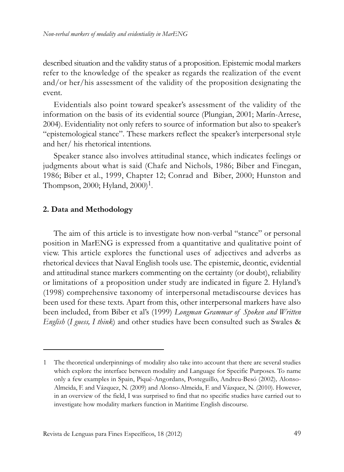described situation and the validity status of a proposition. Epistemic modal markers refer to the knowledge of the speaker as regards the realization of the event and/or her/his assessment of the validity of the proposition designating the event.

Evidentials also point toward speaker's assessment of the validity of the information on the basis of its evidential source (Plungian, 2001; Marín-Arrese, 2004). Evidentiality not only refers to source of information but also to speaker's "epistemological stance". These markers reflect the speaker's interpersonal style and her/ his rhetorical intentions.

Speaker stance also involves attitudinal stance, which indicates feelings or judgments about what is said (Chafe and Nichols, 1986; Biber and Finegan, 1986; Biber et al., 1999, Chapter 12; Conrad and Biber, 2000; Hunston and Thompson, 2000; Hyland,  $2000$ <sup>1</sup>.

#### **2. Data and Methodology**

The aim of this article is to investigate how non-verbal "stance" or personal position in MarENG is expressed from a quantitative and qualitative point of view. This article explores the functional uses of adjectives and adverbs as rhetorical devices that Naval English tools use. The epistemic, deontic, evidential and attitudinal stance markers commenting on the certainty (or doubt), reliability or limitations of a proposition under study are indicated in figure 2. Hyland's (1998) comprehensive taxonomy of interpersonal metadiscourse devices has been used for these texts. Apart from this, other interpersonal markers have also been included, from Biber et al's (1999) *Longman Grammar of Spoken and Written English* (*I guess, I think*) and other studies have been consulted such as Swales &

<sup>1</sup> The theoretical underpinnings of modality also take into account that there are several studies which explore the interface between modality and Language for Specific Purposes. To name only a few examples in Spain, Piqué-Angordans, Posteguillo, Andreu-Besó (2002)*,* Alonso-Almeida, F. and Vázquez, N. (2009) and Alonso-Almeida, F. and Vázquez, N. (2010). However, in an overview of the field, I was surprised to find that no specific studies have carried out to investigate how modality markers function in Maritime English discourse.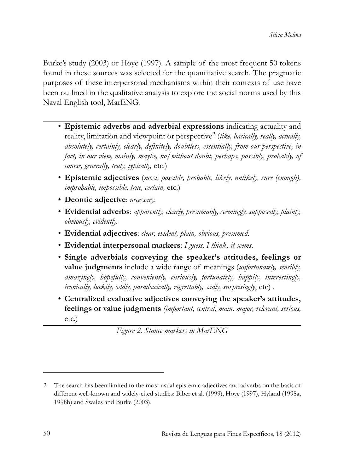Burke's study (2003) or Hoye (1997)*.* A sample of the most frequent 50 tokens found in these sources was selected for the quantitative search. The pragmatic purposes of these interpersonal mechanisms within their contexts of use have been outlined in the qualitative analysis to explore the social norms used by this Naval English tool, MarENG.

- **Epistemic adverbs and adverbial expressions** indicating actuality and reality, limitation and viewpoint or perspective2 (*like, basically, really, actually, absolutely, certainly, clearly, definitely, doubtless, essentially, from our perspective, in fact, in our view, mainly, maybe, no/without doubt, perhaps, possibly, probably, of course, generally, truly, typically,* etc.)
- **Epistemic adjectives** (*most, possible, probable, likely, unlikely, sure (enough), improbable, impossible, true, certain,* etc.)
- **Deontic adjective**: *necessary.*
- **Evidential adverbs**: *apparently, clearly, presumably, seemingly, supposedly, plainly, obviously, evidently.*
- **Evidential adjectives**: *clear, evident, plain, obvious, presumed*.
- **Evidential interpersonal markers**: *I guess, I think, it seems*.
- **Single adverbials conveying the speaker's attitudes, feelings or value judgments** include a wide range of meanings (*unfortunately, sensibly, amazingly, hopefully, conveniently, curiously, fortunately, happily, interestingly, ironically, luckily, oddly, paradoxically, regrettably, sadly, surprisingly*, etc) *.*
- **Centralized evaluative adjectives conveying the speaker's attitudes, feelings or value judgments** *(important, central, main, major, relevant, serious,* etc.)

*Figure 2. Stance markers in MarENG*

<sup>2</sup> The search has been limited to the most usual epistemic adjectives and adverbs on the basis of different well-known and widely-cited studies: Biber et al. (1999), Hoye (1997), Hyland (1998a, 1998b) and Swales and Burke (2003).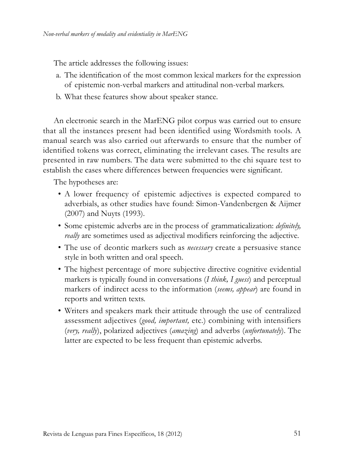The article addresses the following issues:

- a. The identification of the most common lexical markers for the expression of epistemic non-verbal markers and attitudinal non-verbal markers.
- b. What these features show about speaker stance.

An electronic search in the MarENG pilot corpus was carried out to ensure that all the instances present had been identified using Wordsmith tools. A manual search was also carried out afterwards to ensure that the number of identified tokens was correct, eliminating the irrelevant cases. The results are presented in raw numbers. The data were submitted to the chi square test to establish the cases where differences between frequencies were significant.

The hypotheses are:

- A lower frequency of epistemic adjectives is expected compared to adverbials, as other studies have found: Simon-Vandenbergen & Aijmer (2007) and Nuyts (1993).
- Some epistemic adverbs are in the process of grammaticalization: *definitely, really* are sometimes used as adjectival modifiers reinforcing the adjective.
- The use of deontic markers such as *necessary* create a persuasive stance style in both written and oral speech.
- The highest percentage of more subjective directive cognitive evidential markers is typically found in conversations (*I think, I guess*) and perceptual markers of indirect acess to the information (*seems, appear*) are found in reports and written texts.
- Writers and speakers mark their attitude through the use of centralized assessment adjectives (*good, important,* etc.) combining with intensifiers (*very, really*), polarized adjectives (*amazing*) and adverbs (*unfortunately*). The latter are expected to be less frequent than epistemic adverbs.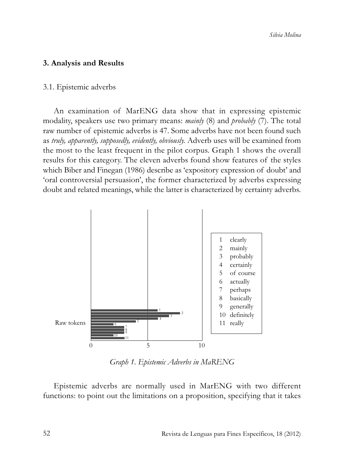# **3. Analysis and Results**

### 3.1. Epistemic adverbs

An examination of MarENG data show that in expressing epistemic modality, speakers use two primary means: *mainly* (8) and *probably* (7). The total raw number of epistemic adverbs is 47. Some adverbs have not been found such as *truly, apparently, supposedly, evidently, obviously.* Adverb uses will be examined from the most to the least frequent in the pilot corpus. Graph 1 shows the overall results for this category. The eleven adverbs found show features of the styles which Biber and Finegan (1986) describe as 'expository expression of doubt' and 'oral controversial persuasion', the former characterized by adverbs expressing doubt and related meanings, while the latter is characterized by certainty adverbs.



*Graph 1. Epistemic Adverbs in MaRENG*

Epistemic adverbs are normally used in MarENG with two different functions: to point out the limitations on a proposition, specifying that it takes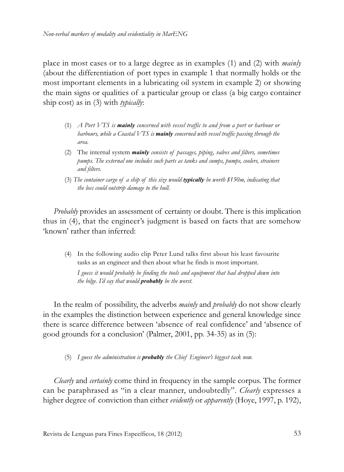place in most cases or to a large degree as in examples (1) and (2) with *mainly* (about the differentiation of port types in example 1 that normally holds or the most important elements in a lubricating oil system in example 2) or showing the main signs or qualities of a particular group or class (a big cargo container ship cost) as in (3) with *typically*:

- (1) *A Port VTS is mainly concerned with vessel traffic to and from a port or harbour or harbours, while a Coastal VTS is mainly concerned with vessel traffic passing through the area.*
- (2) The internal system *mainly consists of passages, piping, valves and filters, sometimes pumps. The external one includes such parts as tanks and sumps, pumps, coolers, strainers and filters.*
- (3) *The container cargo of a ship of this size would typically be worth \$150m, indicating that the loss could outstrip damage to the hull.*

*Probably* provides an assessment of certainty or doubt. There is this implication thus in (4), that the engineer's judgment is based on facts that are somehow 'known' rather than inferred:

(4) In the following audio clip Peter Lund talks first about his least favourite tasks as an engineer and then about what he finds is most important. *I guess it would probably be finding the tools and equipment that had dropped down into the bilge. I'd say that would probably be the worst.*

In the realm of possibility, the adverbs *mainly* and *probably* do not show clearly in the examples the distinction between experience and general knowledge since there is scarce difference between 'absence of real confidence' and 'absence of good grounds for a conclusion' (Palmer, 2001, pp. 34-35) as in (5):

(5) *I guess the administration is probably the Chief Engineer's biggest task now.*

*Clearly* and *certainly* come third in frequency in the sample corpus. The former can be paraphrased as "in a clear manner, undoubtedly". *Clearly* expresses a higher degree of conviction than either *evidently* or *apparently* (Hoye, 1997, p. 192),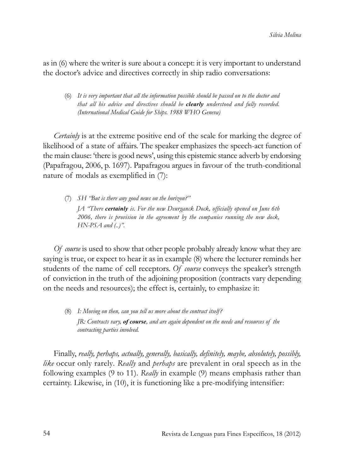as in (6) where the writer is sure about a concept: it is very important to understand the doctor's advice and directives correctly in ship radio conversations:

(6) *It is very important that all the information possible should be passed on to the doctor and that all his advice and directives should be clearly understood and fully recorded. (International Medical Guide for Ships. 1988 WHO Geneva)*

*Certainly* is at the extreme positive end of the scale for marking the degree of likelihood of a state of affairs. The speaker emphasizes the speech-act function of the main clause: 'there is good news', using this epistemic stance adverb by endorsing (Papafragou, 2006, p. 1697). Papafragou argues in favour of the truth-conditional nature of modals as exemplified in (7):

(7) *SH "But is there any good news on the horizon?" JA "There certainly is. For the new Deurganck Dock, officially opened on June 6th 2006, there is provision in the agreement by the companies running the new dock, HN-PSA and (..)".* 

*Of course* is used to show that other people probably already know what they are saying is true, or expect to hear it as in example (8) where the lecturer reminds her students of the name of cell receptors. *Of course* conveys the speaker's strength of conviction in the truth of the adjoining proposition (contracts vary depending on the needs and resources); the effect is, certainly, to emphasize it:

(8) *I: Moving on then, can you tell us more about the contract itself? JR: Contracts vary, of course, and are again dependent on the needs and resources of the contracting parties involved.* 

Finally, *really, perhaps, actually, generally, basically, definitely, maybe, absolutely, possibly, like* occur only rarely*. Really* and *perhaps* are prevalent in oral speech as in the following examples (9 to 11). *Really* in example (9) means emphasis rather than certainty. Likewise, in (10), it is functioning like a pre-modifying intensifier: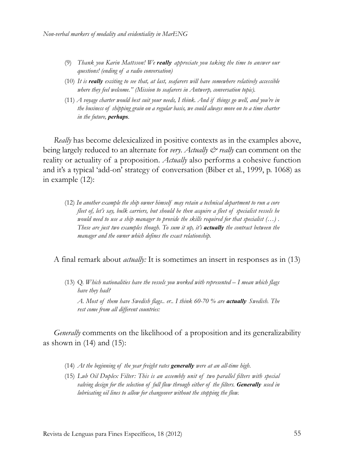- (9) *Thank you Karin Mattsson! We really appreciate you taking the time to answer our questions! (ending of a radio conversation)*
- (10) *It is really exciting to see that, at last, seafarers will have somewhere relatively accessible where they feel welcome." (Mission to seafarers in Antwerp, conversation topic).*
- (11) *A voyage charter would best suit your needs, I think. And if things go well, and you're in the business of shipping grain on a regular basis, we could always move on to a time charter in the future, perhaps.*

*Really* has become delexicalized in positive contexts as in the examples above, being largely reduced to an alternate for *very*. *Actually & really* can comment on the reality or actuality of a proposition. *Actually* also performs a cohesive function and it's a typical 'add-on' strategy of conversation (Biber et al., 1999, p. 1068) as in example (12):

(12) *In another example the ship owner himself may retain a technical department to run a core fleet of, let's say, bulk carriers, but should he then acquire a fleet of specialist vessels he would need to use a ship manager to provide the skills required for that specialist (…) . These are just two examples though. To sum it up, it's actually the contract between the manager and the owner which defines the exact relationship.*

#### A final remark about *actually:* It is sometimes an insert in responses as in (13)

(13) Q. *Which nationalities have the vessels you worked with represented – I mean which flags have they had? A. Most of them have Swedish flags.. er.. I think 60-70 % are actually Swedish. The rest come from all different countries:*

*Generally* comments on the likelihood of a proposition and its generalizability as shown in  $(14)$  and  $(15)$ :

- (14) *At the beginning of the year freight rates generally were at an all-time high*.
- (15) *Lub Oil Duplex Filter: This is an assembly unit of two parallel filters with special valving design for the selection of full flow through either of the filters. Generally used in lubricating oil lines to allow for changeover without the stopping the flow.*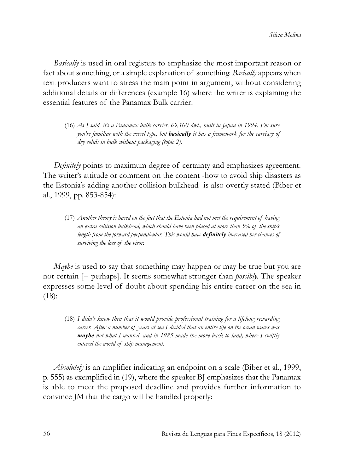*Basically* is used in oral registers to emphasize the most important reason or fact about something, or a simple explanation of something. *Basically* appears when text producers want to stress the main point in argument, without considering additional details or differences (example 16) where the writer is explaining the essential features of the Panamax Bulk carrier:

(16) *As I said, it's a Panamax bulk carrier, 69,100 dwt., built in Japan in 1994. I'm sure you're familiar with the vessel type, but basically it has a framework for the carriage of dry solids in bulk without packaging (topic 2).*

*Definitely* points to maximum degree of certainty and emphasizes agreement. The writer's attitude or comment on the content -how to avoid ship disasters as the Estonia's adding another collision bulkhead- is also overtly stated (Biber et al., 1999, pp. 853-854):

(17) *Another theory is based on the fact that the Estonia had not met the requirement of having an extra collision bulkhead, which should have been placed at more than 5% of the ship's length from the forward perpendicular. This would have definitely increased her chances of surviving the loss of the visor.*

*Maybe* is used to say that something may happen or may be true but you are not certain [= perhaps]. It seems somewhat stronger than *possibly.* The speaker expresses some level of doubt about spending his entire career on the sea in (18):

(18) *I didn't know then that it would provide professional training for a lifelong rewarding career. After a number of years at sea I decided that an entire life on the ocean waves was maybe not what I wanted, and in 1985 made the move back to land, where I swiftly entered the world of ship management.* 

*Absolutely* is an amplifier indicating an endpoint on a scale (Biber et al., 1999, p. 555) as exemplified in (19), where the speaker BJ emphasizes that the Panamax is able to meet the proposed deadline and provides further information to convince JM that the cargo will be handled properly: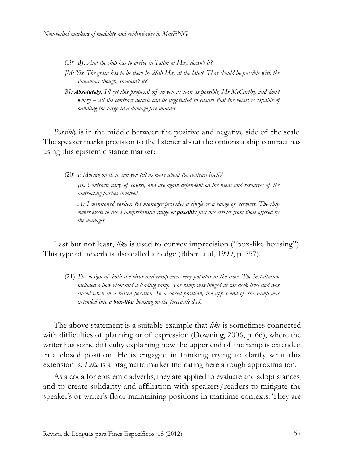- (19) *BJ: And the ship has to arrive in Tallin in May, doesn't it?*
- *JM: Yes. The grain has to be there by 28th May at the latest. That should be possible with the Panamax though, shouldn't it?*
- *BJ: Absolutely. I'll get this proposal off to you as soon as possible, Mr McCarthy, and don't worry – all the contract details can be negotiated to ensure that the vessel is capable of handling the cargo in a damage-free manner.*

*Possibly* is in the middle between the positive and negative side of the scale. The speaker marks precision to the listener about the options a ship contract has using this epistemic stance marker:

(20) *I: Moving on then, can you tell us more about the contract itself?* 

*JR: Contracts vary, of course, and are again dependent on the needs and resources of the contracting parties involved.*

*As I mentioned earlier, the manager provides a single or a range of services. The ship owner elects to use a comprehensive range or possibly just one service from those offered by the manager.*

Last but not least, like is used to convey imprecision ("box-like housing"). This type of adverb is also called a hedge (Biber et al, 1999, p. 557).

(21) *The design of both the visor and ramp were very popular at the time. The installation included a bow visor and a loading ramp. The ramp was hinged at car deck level and was closed when in a raised position. In a closed position, the upper end of the ramp was extended into a box-like housing on the forecastle deck.*

The above statement is a suitable example that *like* is sometimes connected with difficulties of planning or of expression (Downing, 2006, p. 66), where the writer has some difficulty explaining how the upper end of the ramp is extended in a closed position. He is engaged in thinking trying to clarify what this extension is. *Like* is a pragmatic marker indicating here a rough approximation.

As a coda for epistemic adverbs, they are applied to evaluate and adopt stances, and to create solidarity and affiliation with speakers/readers to mitigate the speaker's or writer's floor-maintaining positions in maritime contexts. They are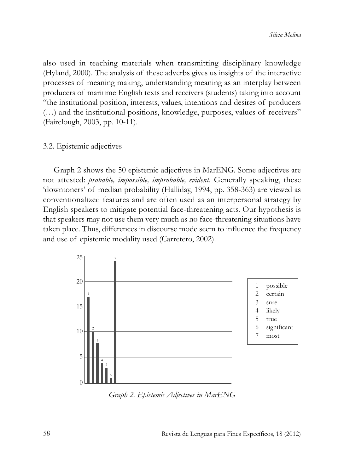also used in teaching materials when transmitting disciplinary knowledge (Hyland, 2000). The analysis of these adverbs gives us insights of the interactive processes of meaning making, understanding meaning as an interplay between producers of maritime English texts and receivers (students) taking into account "the institutional position, interests, values, intentions and desires of producers (…) and the institutional positions, knowledge, purposes, values of receivers" (Fairclough, 2003, pp. 10-11).

#### 3.2. Epistemic adjectives

Graph 2 shows the 50 epistemic adjectives in MarENG. Some adjectives are not attested: *probable, impossible, improbable, evident.* Generally speaking, these 'downtoners' of median probability (Halliday, 1994, pp. 358-363) are viewed as conventionalized features and are often used as an interpersonal strategy by English speakers to mitigate potential face-threatening acts. Our hypothesis is that speakers may not use them very much as no face-threatening situations have taken place. Thus, differences in discourse mode seem to influence the frequency and use of epistemic modality used (Carretero, 2002).



*Graph 2. Epistemic Adjectives in MarENG*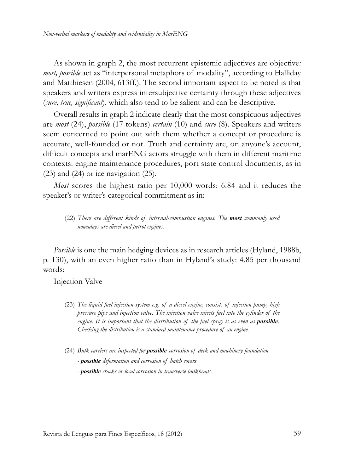As shown in graph 2, the most recurrent epistemic adjectives are objective*: most, possible* act as "interpersonal metaphors of modality", according to Halliday and Matthiesen (2004, 613ff.). The second important aspect to be noted is that speakers and writers express intersubjective certainty through these adjectives (*sure, true, significant*), which also tend to be salient and can be descriptive.

Overall results in graph 2 indicate clearly that the most conspicuous adjectives are *most* (24), *possible* (17 tokens) *certain* (10) and *sure* (8). Speakers and writers seem concerned to point out with them whether a concept or procedure is accurate, well-founded or not. Truth and certainty are, on anyone's account, difficult concepts and marENG actors struggle with them in different maritime contexts: engine maintenance procedures, port state control documents, as in (23) and (24) or ice navigation (25).

*Most* scores the highest ratio per 10,000 words: 6.84 and it reduces the speaker's or writer's categorical commitment as in:

(22) *There are different kinds of internal-combustion engines. The most commonly used nowadays are diesel and petrol engines.*

*Possible* is one the main hedging devices as in research articles (Hyland, 1988b, p. 130), with an even higher ratio than in Hyland's study: 4.85 per thousand words:

Injection Valve

- (23) *The liquid fuel injection system e.g. of a diesel engine, consists of injection pump, high pressure pipe and injection valve. The injection valve injects fuel into the cylinder of the engine. It is important that the distribution of the fuel spray is as even as possible. Checking the distribution is a standard maintenance procedure of an engine.*
- (24) *Bulk carriers are inspected for possible corrosion of deck and machinery foundation. - possible deformation and corrosion of hatch covers - possible cracks or local corrosion in transverse bulkheads.*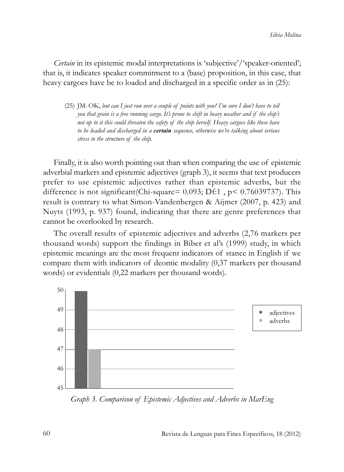*Certain* in its epistemic modal interpretations is 'subjective'/'speaker-oriented'; that is, it indicates speaker commitment to a (base) proposition, in this case, that heavy cargoes have be to loaded and discharged in a specific order as in (25):

(25) JM: OK, *but can I just run over a couple of points with you? I'm sure I don't have to tell you that grain is a free running cargo. It's prone to shift in heavy weather and if the ship's not up to it this could threaten the safety of the ship herself. Heavy cargoes like these have to be loaded and discharged in a certain sequence, otherwise we're talking about serious stress to the structure of the ship.* 

Finally, it is also worth pointing out than when comparing the use of epistemic adverbial markers and epistemic adjectives (graph 3), it seems that text producers prefer to use epistemic adjectives rather than epistemic adverbs, but the difference is not significant(Chi-square= 0.093; Df:1 , p< 0.76039737). This result is contrary to what Simon-Vandenbergen & Aijmer (2007, p. 423) and Nuyts (1993, p. 937) found, indicating that there are genre preferences that cannot be overlooked by research.

The overall results of epistemic adjectives and adverbs (2,76 markers per thousand words) support the findings in Biber et al's (1999) study, in which epistemic meanings are the most frequent indicators of stance in English if we compare them with indicators of deontic modality (0,37 markers per thousand words) or evidentials (0,22 markers per thousand words).



*Graph 3. Comparison of Epistemic Adjectives and Adverbs in MarEng*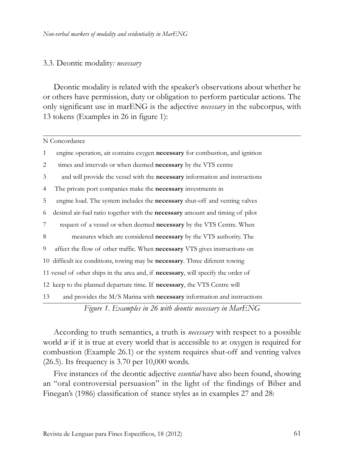#### 3.3. Deontic modality*: necessary*

Deontic modality is related with the speaker's observations about whether he or others have permission, duty or obligation to perform particular actions. The only significant use in marENG is the adjective *necessary* in the subcorpus, with 13 tokens (Examples in 26 in figure 1):

|              | N Concordance                                                                             |
|--------------|-------------------------------------------------------------------------------------------|
| $\mathbf{1}$ | engine operation, air contains exygen necessary for combustion, and ignition              |
| 2            | times and intervals or when deemed necessary by the VTS centre                            |
| 3            | and will provide the vessel with the <b>necessary</b> information and instructions        |
| 4            | The private port companies make the <b>necessary</b> investments in                       |
| 5            | engine load. The system includes the <b>necessary</b> shut-off and venting valves         |
| 6            | desired air-fuel ratio together with the necessary amount and timing of pilot             |
| 7            | request of a vessel or when deemed <b>necessary</b> by the VTS Centre. When               |
| 8            | measures which are considered <b>necessary</b> by the VTS authority. The                  |
| 9            | affect the flow of other traffic. When <b>necessary</b> VTS gives instructions on         |
|              | 10 difficult ice conditions, towing may be <b>necessary</b> . Three diferent towing       |
|              | 11 vessel of other ships in the area and, if <b>necessary</b> , will specify the order of |
|              | 12 keep to the planned departure time. If necessary, the VTS Centre will                  |
| 13           | and provides the M/S Marina with necessary information and instructions                   |
|              | Figure 1. Examples in 26 with deontic necessary in MarENG                                 |

According to truth semantics, a truth is *necessary* with respect to a possible world *w* if it is true at every world that is accessible to *w*: oxygen is required for combustion (Example 26.1) or the system requires shut-off and venting valves (26.5). Its frequency is 3.70 per 10,000 words.

Five instances of the deontic adjective *essential* have also been found, showing an "oral controversial persuasion" in the light of the findings of Biber and Finegan's (1986) classification of stance styles as in examples 27 and 28: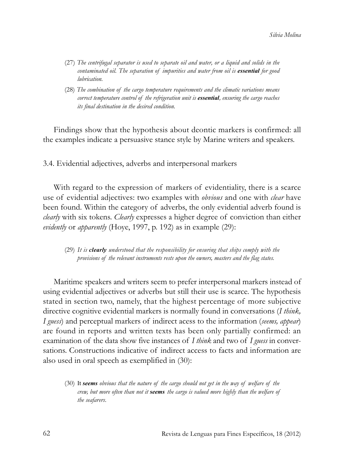- (27) *The centrifugal separator is used to separate oil and water, or a liquid and solids in the contaminated oil. The separation of impurities and water from oil is essential for good lubrication.*
- (28) *The combination of the cargo temperature requirements and the climatic variations means correct temperature control of the refrigeration unit is essential, ensuring the cargo reaches its final destination in the desired condition.*

Findings show that the hypothesis about deontic markers is confirmed: all the examples indicate a persuasive stance style by Marine writers and speakers.

3.4. Evidential adjectives, adverbs and interpersonal markers

With regard to the expression of markers of evidentiality, there is a scarce use of evidential adjectives: two examples with *obvious* and one with *clear* have been found. Within the category of adverbs, the only evidential adverb found is *clearly* with six tokens. *Clearly* expresses a higher degree of conviction than either *evidently* or *apparently* (Hoye, 1997, p. 192) as in example (29):

(29) *It is clearly understood that the responsibility for ensuring that ships comply with the provisions of the relevant instruments rests upon the owners, masters and the flag states.*

Maritime speakers and writers seem to prefer interpersonal markers instead of using evidential adjectives or adverbs but still their use is scarce. The hypothesis stated in section two, namely, that the highest percentage of more subjective directive cognitive evidential markers is normally found in conversations (*I think, I guess*) and perceptual markers of indirect acess to the information (*seems, appear*) are found in reports and written texts has been only partially confirmed: an examination of the data show five instances of *I think* and two of *I guess* in conversations. Constructions indicative of indirect access to facts and information are also used in oral speech as exemplified in (30):

(30) It *seems obvious that the nature of the cargo should not get in the way of welfare of the crew, but more often than not it seems the cargo is valued more highly than the welfare of the seafarers*.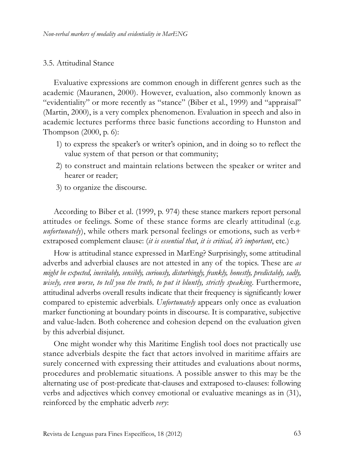# 3.5. Attitudinal Stance

Evaluative expressions are common enough in different genres such as the academic (Mauranen, 2000). However, evaluation, also commonly known as "evidentiality" or more recently as "stance" (Biber et al., 1999) and "appraisal" (Martin, 2000), is a very complex phenomenon. Evaluation in speech and also in academic lectures performs three basic functions according to Hunston and Thompson (2000, p. 6):

- 1) to express the speaker's or writer's opinion, and in doing so to reflect the value system of that person or that community;
- 2) to construct and maintain relations between the speaker or writer and hearer or reader;
- 3) to organize the discourse.

According to Biber et al. (1999, p. 974) these stance markers report personal attitudes or feelings. Some of these stance forms are clearly attitudinal (e.g. *unfortunately*), while others mark personal feelings or emotions, such as verb+ extraposed complement clause: (*it is essential that*, *it is critical, it's important*, etc.)

How is attitudinal stance expressed in MarEng? Surprisingly, some attitudinal adverbs and adverbial clauses are not attested in any of the topics. These are *as might be expected, inevitably, sensibly, curiously, disturbingly, frankly, honestly, predictably, sadly,* wisely, even worse, to tell you the truth, to put it bluntly, strictly speaking. Furthermore, attitudinal adverbs overall results indicate that their frequency is significantly lower compared to epistemic adverbials. *Unfortunately* appears only once as evaluation marker functioning at boundary points in discourse. It is comparative, subjective and value-laden. Both coherence and cohesion depend on the evaluation given by this adverbial disjunct.

One might wonder why this Maritime English tool does not practically use stance adverbials despite the fact that actors involved in maritime affairs are surely concerned with expressing their attitudes and evaluations about norms, procedures and problematic situations. A possible answer to this may be the alternating use of post-predicate that-clauses and extraposed to-clauses: following verbs and adjectives which convey emotional or evaluative meanings as in (31), reinforced by the emphatic adverb *very*: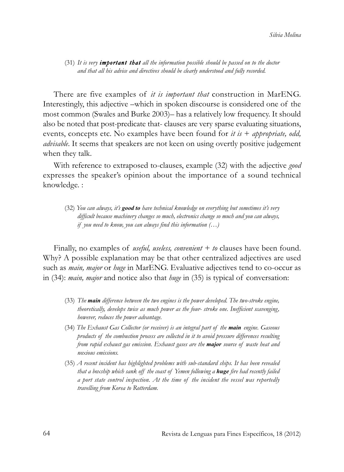(31) *It is very important that all the information possible should be passed on to the doctor and that all his advice and directives should be clearly understood and fully recorded.*

There are five examples of *it is important that* construction in MarENG. Interestingly, this adjective –which in spoken discourse is considered one of the most common (Swales and Burke 2003)– has a relatively low frequency. It should also be noted that post-predicate that- clauses are very sparse evaluating situations, events, concepts etc. No examples have been found for *it is* + *appropriate, odd, advisable*. It seems that speakers are not keen on using overtly positive judgement when they talk.

With reference to extraposed to-clauses, example (32) with the adjective *good* expresses the speaker's opinion about the importance of a sound technical knowledge. :

(32) *You can always, it's good to have technical knowledge on everything but sometimes it's very difficult because machinery changes so much, electronics change so much and you can always, if you need to know, you can always find this information (…)*

Finally, no examples of *useful, useless, convenient + to* clauses have been found. Why? A possible explanation may be that other centralized adjectives are used such as *main, major* or *huge* in MarENG. Evaluative adjectives tend to co-occur as in (34): *main, major* and notice also that *huge* in (35) is typical of conversation:

- (33) *The main difference between the two engines is the power developed. The two-stroke engine, theoretically, develops twice as much power as the four- stroke one. Inefficient scavenging, however, reduces the power advantage.*
- (34) *The Exhaust Gas Collector (or receiver) is an integral part of the main engine. Gaseous products of the combustion process are collected in it to avoid pressure differences resulting from rapid exhaust gas emission. Exhaust gases are the major source of waste heat and noxious emissions.*
- (35) *A recent incident has highlighted problems with sub-standard ships. It has been revealed that a boxship which sank off the coast of Yemen following a huge fire had recently failed a port state control inspection. At the time of the incident the vessel was reportedly travelling from Korea to Rotterdam.*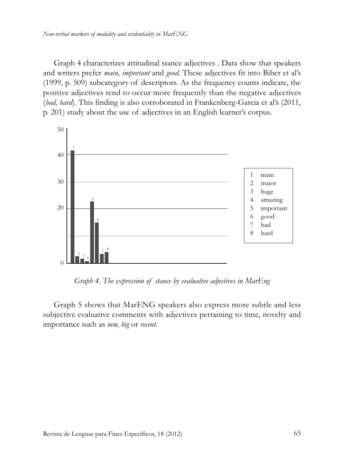Graph 4 characterizes attitudinal stance adjectives . Data show that speakers and writers prefer *main, important* and *good*. These adjectives fit into Biber et al's (1999, p. 509) subcategory of descriptors. As the frequency counts indicate, the positive adjectives tend to occur more frequently than the negative adjectives (*bad, hard*). This finding is also corroborated in Frankenberg-Garcia et al's (2011, p. 201) study about the use of adjectives in an English learner's corpus.



*Graph 4. The expression of stance by evaluative adjectives in MarEng*

Graph 5 shows that MarENG speakers also express more subtle and less subjective evaluative comments with adjectives pertaining to time, novelty and importance such as *new, big* or *recent*.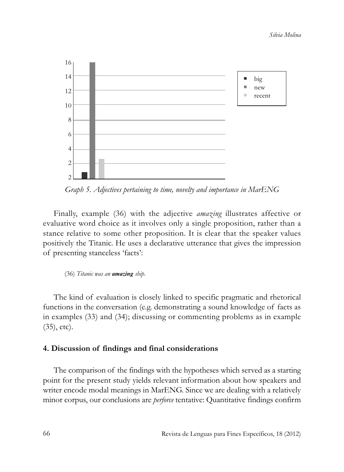

*Graph 5. Adjectives pertaining to time, novelty and importance in MarENG*

Finally, example (36) with the adjective *amazing* illustrates affective or evaluative word choice as it involves only a single proposition, rather than a stance relative to some other proposition. It is clear that the speaker values positively the Titanic. He uses a declarative utterance that gives the impression of presenting stanceless 'facts':

(36) *Titanic was an amazing ship*.

The kind of evaluation is closely linked to specific pragmatic and rhetorical functions in the conversation (e.g. demonstrating a sound knowledge of facts as in examples (33) and (34); discussing or commenting problems as in example (35), etc).

# **4. Discussion of findings and final considerations**

The comparison of the findings with the hypotheses which served as a starting point for the present study yields relevant information about how speakers and writer encode modal meanings in MarENG. Since we are dealing with a relatively minor corpus, our conclusions are *perforce* tentative: Quantitative findings confirm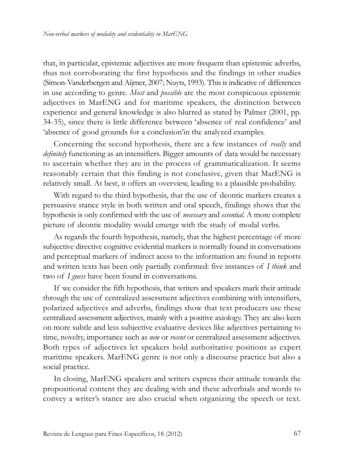that, in particular, epistemic adjectives are more frequent than epistemic adverbs, thus not corroborating the first hypothesis and the findings in other studies (Simon-Vanderbergen and Aijmer, 2007; Nuyts, 1993). This is indicative of differences in use according to genre. *Most* and *possible* are the most conspicuous epistemic adjectives in MarENG and for maritime speakers, the distinction between experience and general knowledge is also blurred as stated by Palmer (2001, pp. 34-35), since there is little difference between 'absence of real confidence' and 'absence of good grounds for a conclusion'in the analyzed examples.

Concerning the second hypothesis, there are a few instances of *really* and *definitely* functioning as an intensifiers. Bigger amounts of data would be necessary to ascertain whether they are in the process of grammaticalization. It seems reasonably certain that this finding is not conclusive, given that MarENG is relatively small. At best, it offers an overview, leading to a plausible probability.

With regard to the third hypothesis, that the use of deontic markers creates a persuasive stance style in both written and oral speech, findings shows that the hypothesis is only confirmed with the use of *necessary* and *essential.* A more complete picture of deontic modality would emerge with the study of modal verbs.

As regards the fourth hypothesis, namely, that the highest percentage of more subjective directive cognitive evidential markers is normally found in conversations and perceptual markers of indirect acess to the information are found in reports and written texts has been only partially confirmed: five instances of *I think* and two of *I guess* have been found in conversations.

If we consider the fifh hypothesis, that writers and speakers mark their attitude through the use of centralized assessment adjectives combining with intensifiers, polarized adjectives and adverbs, findings show that text producers use these centralized assessment adjectives, mainly with a positive axiology. They are also keen on more subtle and less subjective evaluative devices like adjectives pertaining to time, novelty, importance such as *new* or *recent* or centralized assessment adjectives. Both types of adjectives let speakers hold authoritative positions as expert maritime speakers. MarENG genre is not only a discourse practice but also a social practice.

In closing, MarENG speakers and writers express their attitude towards the propositional content they are dealing with and these adverbials and words to convey a writer's stance are also crucial when organizing the speech or text.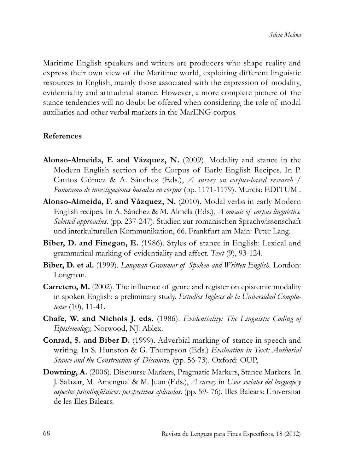Maritime English speakers and writers are producers who shape reality and express their own view of the Maritime world, exploiting different linguistic resources in English, mainly those associated with the expression of modality, evidentiality and attitudinal stance. However, a more complete picture of the stance tendencies will no doubt be offered when considering the role of modal auxiliaries and other verbal markers in the MarENG corpus.

# **References**

- **Alonso-Almeida, F. and Vázquez, N.** (2009). Modality and stance in the Modern English section of the Corpus of Early English Recipes. In P. Cantos Gómez & A. Sánchez (Eds.), *A survey on corpus-based research / Panorama de investigaciones basadas en corpus* (pp. 1171-1179). Murcia: EDITUM .
- **Alonso-Almeida, F. and Vázquez, N.** (2010). Modal verbs in early Modern English recipes. In A. Sánchez & M. Almela (Eds.), *A mosaic of corpus linguistics. Selected approaches*. (pp. 237-247). Studien zur romanischen Sprachwissenschaft und interkulturellen Kommunikation, 66. Frankfurt am Main: Peter Lang.
- **Biber, D. and Finegan, E.** (1986). Styles of stance in English: Lexical and grammatical marking of evidentiality and affect. *Text* (9), 93-124.
- **Biber, D. et al.** (1999). *Longman Grammar of Spoken and Written English.* London: Longman.
- **Carretero, M.** (2002). The influence of genre and register on epistemic modality in spoken English: a preliminary study. *Estudios Ingleses de la Universidad Complu tense* (10), 11-41.
- **Chafe, W. and Nichols J. eds.** (1986). *Evidentiality: The Linguistic Coding of Epistemology,* Norwood, NJ: Ablex.
- **Conrad, S. and Biber D.** (1999). Adverbial marking of stance in speech and writing. In S. Hunston & G. Thompson (Eds.) *Evaluation in Text: Authorial Stance and the Construction of Discourse*. (pp. 56-73). Oxford: OUP,
- **Downing, A.** (2006). Discourse Markers, Pragmatic Markers, Stance Markers. In J. Salazar, M. Amengual & M. Juan (Eds.), *A survey* in *Usos sociales del lenguaje y aspectos psicolingüísticos: perspectivas aplicadas*. (pp. 59- 76). Illes Balears: Universitat de les Illes Balears.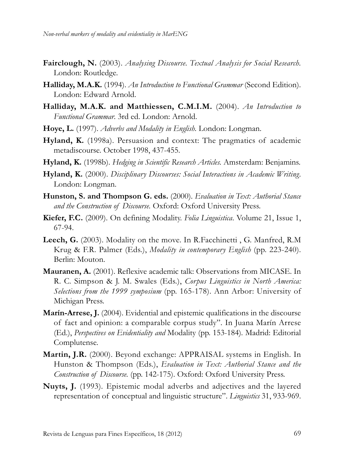- **Fairclough, N.** (2003). *Analysing Discourse. Textual Analysis for Social Research.* London: Routledge.
- **Halliday, M.A.K.** (1994). *An Introduction to Functional Grammar* (Second Edition). London: Edward Arnold.
- **Halliday, M.A.K. and Matthiessen, C.M.I.M.** (2004). *An Introduction to Functional Grammar*. 3rd ed. London: Arnold.
- **Hoye, L.** (1997). *Adverbs and Modality in English.* London: Longman.
- **Hyland, K.** (1998a). Persuasion and context: The pragmatics of academic metadiscourse. October 1998, 437-455.
- **Hyland, K.** (1998b). *Hedging in Scientific Research Articles.* Amsterdam: Benjamins.
- **Hyland, K.** (2000). *Disciplinary Discourses: Social Interactions in Academic Writing.* London: Longman.
- **Hunston, S. and Thompson G. eds.** (2000). *Evaluation in Text: Authorial Stance and the Construction of Discourse.* Oxford: Oxford University Press.
- **Kiefer, F.C.** (2009). On defining Modality. *Folia Linguistica*. Volume 21, Issue 1, 67-94.
- Leech, G. (2003). Modality on the move. In R.Facchinetti, G. Manfred, R.M. Krug & F.R. Palmer (Eds.), *Modality in contemporary English* (pp. 223-240). Berlin: Mouton.
- **Mauranen, A.** (2001). Reflexive academic talk: Observations from MICASE. In R. C. Simpson & J. M. Swales (Eds.), *Corpus Linguistics in North America: Selections from the 1999 symposium* (pp. 165-178). Ann Arbor: University of Michigan Press.
- **Marín-Arrese, J.** (2004). Evidential and epistemic qualifications in the discourse of fact and opinion: a comparable corpus study". In Juana Marín Arrese (Ed.), *Perspectives on Evidentiality and* Modality (pp. 153-184)*.* Madrid: Editorial Complutense.
- **Martin, J.R.** (2000). Beyond exchange: APPRAISAL systems in English. In Hunston & Thompson (Eds.), *Evaluation in Text: Authorial Stance and the Construction of Discourse.* (pp. 142-175). Oxford: Oxford University Press.
- **Nuyts, J.** (1993). Epistemic modal adverbs and adjectives and the layered representation of conceptual and linguistic structure". *Linguistics* 31, 933-969.